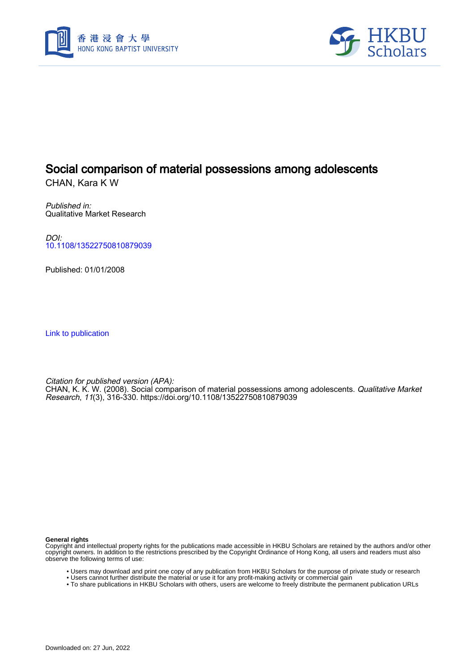



## Social comparison of material possessions among adolescents

CHAN, Kara K W

Published in: Qualitative Market Research

DOI: [10.1108/13522750810879039](https://doi.org/10.1108/13522750810879039)

Published: 01/01/2008

[Link to publication](https://scholars.hkbu.edu.hk/en/publications/40234079-7802-4bfa-9642-500fab54fa17)

Citation for published version (APA):

CHAN, K. K. W. (2008). Social comparison of material possessions among adolescents. *Qualitative Market* Research, 11(3), 316-330.<https://doi.org/10.1108/13522750810879039>

**General rights**

Copyright and intellectual property rights for the publications made accessible in HKBU Scholars are retained by the authors and/or other copyright owners. In addition to the restrictions prescribed by the Copyright Ordinance of Hong Kong, all users and readers must also observe the following terms of use:

- Users may download and print one copy of any publication from HKBU Scholars for the purpose of private study or research
- Users cannot further distribute the material or use it for any profit-making activity or commercial gain
- To share publications in HKBU Scholars with others, users are welcome to freely distribute the permanent publication URLs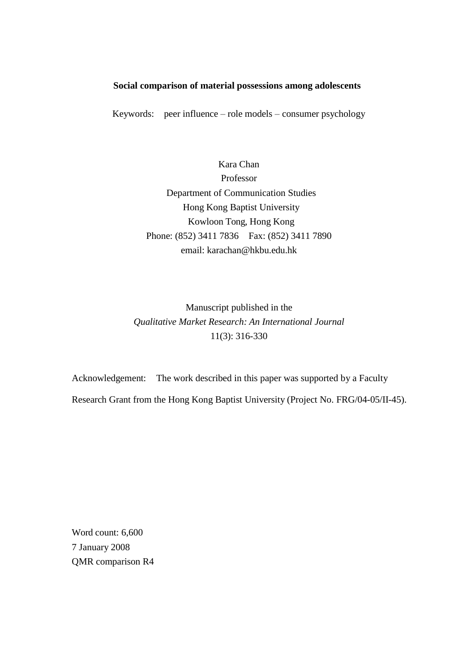## **Social comparison of material possessions among adolescents**

Keywords: peer influence – role models – consumer psychology

Kara Chan Professor Department of Communication Studies Hong Kong Baptist University Kowloon Tong, Hong Kong Phone: (852) 3411 7836 Fax: (852) 3411 7890 email: [karachan@hkbu.edu.hk](mailto:karachan@hkbu.edu.hk)

Manuscript published in the *Qualitative Market Research: An International Journal* 11(3): 316-330

Acknowledgement: The work described in this paper was supported by a Faculty Research Grant from the Hong Kong Baptist University (Project No. FRG/04-05/II-45).

Word count: 6,600 7 January 2008 QMR comparison R4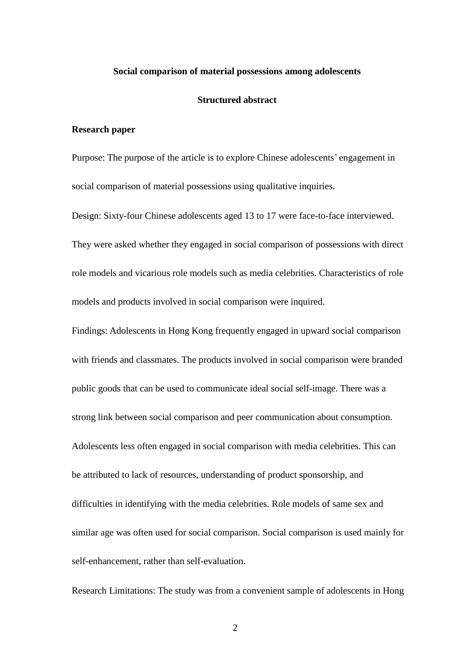#### **Social comparison of material possessions among adolescents**

## **Structured abstract**

#### **Research paper**

Purpose: The purpose of the article is to explore Chinese adolescents' engagement in social comparison of material possessions using qualitative inquiries.

Design: Sixty-four Chinese adolescents aged 13 to 17 were face-to-face interviewed. They were asked whether they engaged in social comparison of possessions with direct role models and vicarious role models such as media celebrities. Characteristics of role models and products involved in social comparison were inquired.

Findings: Adolescents in Hong Kong frequently engaged in upward social comparison with friends and classmates. The products involved in social comparison were branded public goods that can be used to communicate ideal social self-image. There was a strong link between social comparison and peer communication about consumption. Adolescents less often engaged in social comparison with media celebrities. This can be attributed to lack of resources, understanding of product sponsorship, and difficulties in identifying with the media celebrities. Role models of same sex and similar age was often used for social comparison. Social comparison is used mainly for self-enhancement, rather than self-evaluation.

Research Limitations: The study was from a convenient sample of adolescents in Hong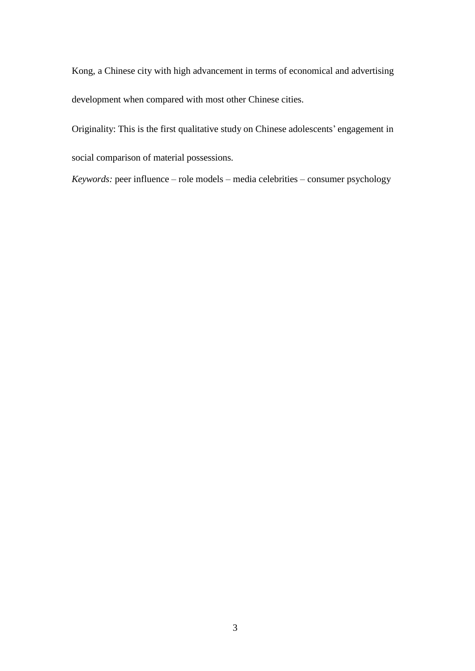Kong, a Chinese city with high advancement in terms of economical and advertising development when compared with most other Chinese cities.

Originality: This is the first qualitative study on Chinese adolescents' engagement in social comparison of material possessions.

*Keywords:* peer influence – role models – media celebrities – consumer psychology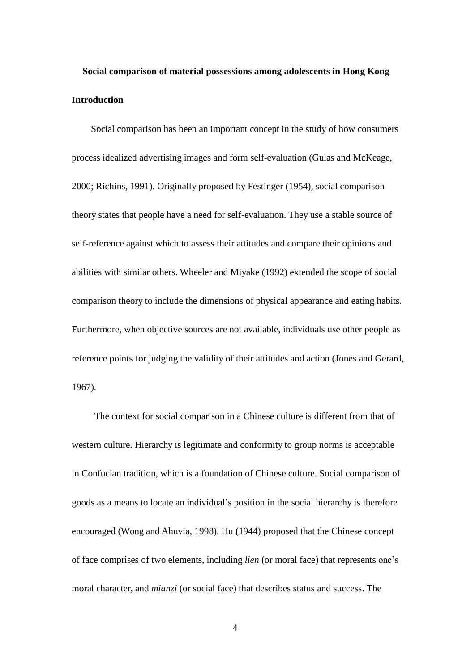# **Social comparison of material possessions among adolescents in Hong Kong Introduction**

Social comparison has been an important concept in the study of how consumers process idealized advertising images and form self-evaluation (Gulas and McKeage, 2000; Richins, 1991). Originally proposed by Festinger (1954), social comparison theory states that people have a need for self-evaluation. They use a stable source of self-reference against which to assess their attitudes and compare their opinions and abilities with similar others. Wheeler and Miyake (1992) extended the scope of social comparison theory to include the dimensions of physical appearance and eating habits. Furthermore, when objective sources are not available, individuals use other people as reference points for judging the validity of their attitudes and action (Jones and Gerard, 1967).

The context for social comparison in a Chinese culture is different from that of western culture. Hierarchy is legitimate and conformity to group norms is acceptable in Confucian tradition, which is a foundation of Chinese culture. Social comparison of goods as a means to locate an individual's position in the social hierarchy is therefore encouraged (Wong and Ahuvia, 1998). Hu (1944) proposed that the Chinese concept of face comprises of two elements, including *lien* (or moral face) that represents one's moral character, and *mianzi* (or social face) that describes status and success. The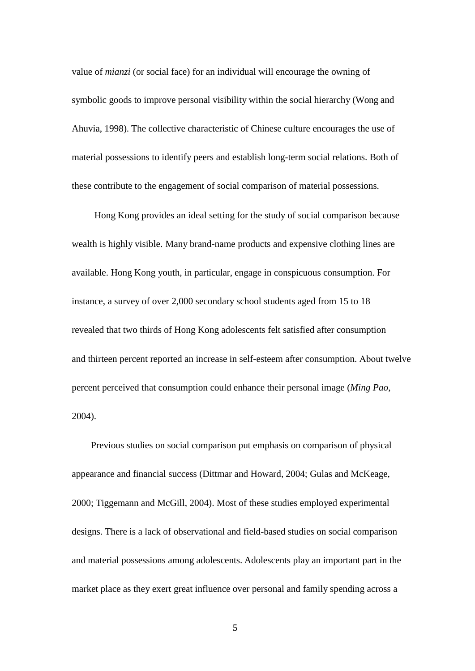value of *mianzi* (or social face) for an individual will encourage the owning of symbolic goods to improve personal visibility within the social hierarchy (Wong and Ahuvia, 1998). The collective characteristic of Chinese culture encourages the use of material possessions to identify peers and establish long-term social relations. Both of these contribute to the engagement of social comparison of material possessions.

Hong Kong provides an ideal setting for the study of social comparison because wealth is highly visible. Many brand-name products and expensive clothing lines are available. Hong Kong youth, in particular, engage in conspicuous consumption. For instance, a survey of over 2,000 secondary school students aged from 15 to 18 revealed that two thirds of Hong Kong adolescents felt satisfied after consumption and thirteen percent reported an increase in self-esteem after consumption. About twelve percent perceived that consumption could enhance their personal image (*Ming Pao*, 2004).

Previous studies on social comparison put emphasis on comparison of physical appearance and financial success (Dittmar and Howard, 2004; Gulas and McKeage, 2000; Tiggemann and McGill, 2004). Most of these studies employed experimental designs. There is a lack of observational and field-based studies on social comparison and material possessions among adolescents. Adolescents play an important part in the market place as they exert great influence over personal and family spending across a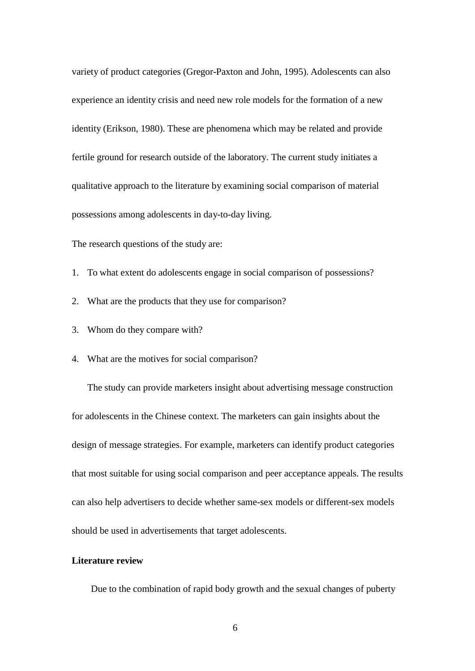variety of product categories (Gregor-Paxton and John, 1995). Adolescents can also experience an identity crisis and need new role models for the formation of a new identity (Erikson, 1980). These are phenomena which may be related and provide fertile ground for research outside of the laboratory. The current study initiates a qualitative approach to the literature by examining social comparison of material possessions among adolescents in day-to-day living.

The research questions of the study are:

- 1. To what extent do adolescents engage in social comparison of possessions?
- 2. What are the products that they use for comparison?
- 3. Whom do they compare with?
- 4. What are the motives for social comparison?

The study can provide marketers insight about advertising message construction for adolescents in the Chinese context. The marketers can gain insights about the design of message strategies. For example, marketers can identify product categories that most suitable for using social comparison and peer acceptance appeals. The results can also help advertisers to decide whether same-sex models or different-sex models should be used in advertisements that target adolescents.

#### **Literature review**

Due to the combination of rapid body growth and the sexual changes of puberty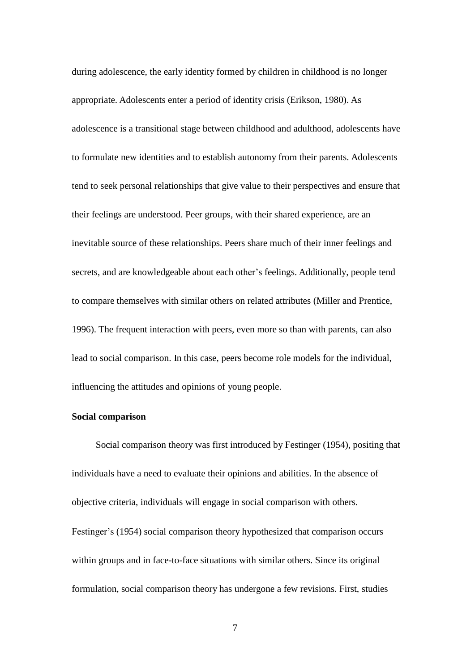during adolescence, the early identity formed by children in childhood is no longer appropriate. Adolescents enter a period of identity crisis (Erikson, 1980). As adolescence is a transitional stage between childhood and adulthood, adolescents have to formulate new identities and to establish autonomy from their parents. Adolescents tend to seek personal relationships that give value to their perspectives and ensure that their feelings are understood. Peer groups, with their shared experience, are an inevitable source of these relationships. Peers share much of their inner feelings and secrets, and are knowledgeable about each other's feelings. Additionally, people tend to compare themselves with similar others on related attributes (Miller and Prentice, 1996). The frequent interaction with peers, even more so than with parents, can also lead to social comparison. In this case, peers become role models for the individual, influencing the attitudes and opinions of young people.

## **Social comparison**

Social comparison theory was first introduced by Festinger (1954), positing that individuals have a need to evaluate their opinions and abilities. In the absence of objective criteria, individuals will engage in social comparison with others. Festinger's (1954) social comparison theory hypothesized that comparison occurs within groups and in face-to-face situations with similar others. Since its original formulation, social comparison theory has undergone a few revisions. First, studies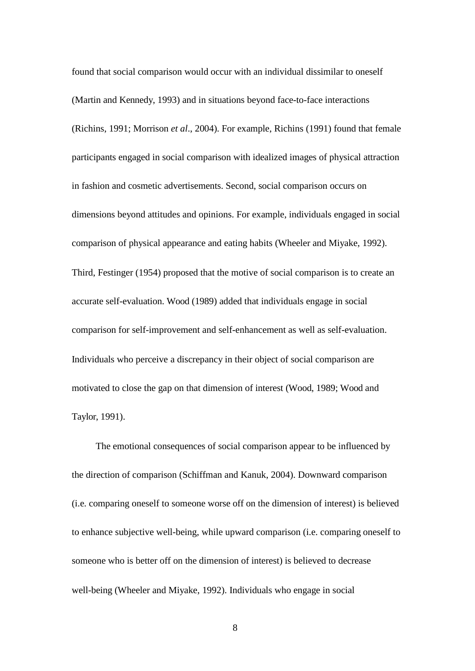found that social comparison would occur with an individual dissimilar to oneself (Martin and Kennedy, 1993) and in situations beyond face-to-face interactions (Richins, 1991; Morrison *et al*., 2004). For example, Richins (1991) found that female participants engaged in social comparison with idealized images of physical attraction in fashion and cosmetic advertisements. Second, social comparison occurs on dimensions beyond attitudes and opinions. For example, individuals engaged in social comparison of physical appearance and eating habits (Wheeler and Miyake, 1992). Third, Festinger (1954) proposed that the motive of social comparison is to create an accurate self-evaluation. Wood (1989) added that individuals engage in social comparison for self-improvement and self-enhancement as well as self-evaluation. Individuals who perceive a discrepancy in their object of social comparison are motivated to close the gap on that dimension of interest (Wood, 1989; Wood and Taylor, 1991).

The emotional consequences of social comparison appear to be influenced by the direction of comparison (Schiffman and Kanuk, 2004). Downward comparison (i.e. comparing oneself to someone worse off on the dimension of interest) is believed to enhance subjective well-being, while upward comparison (i.e. comparing oneself to someone who is better off on the dimension of interest) is believed to decrease well-being (Wheeler and Miyake, 1992). Individuals who engage in social

8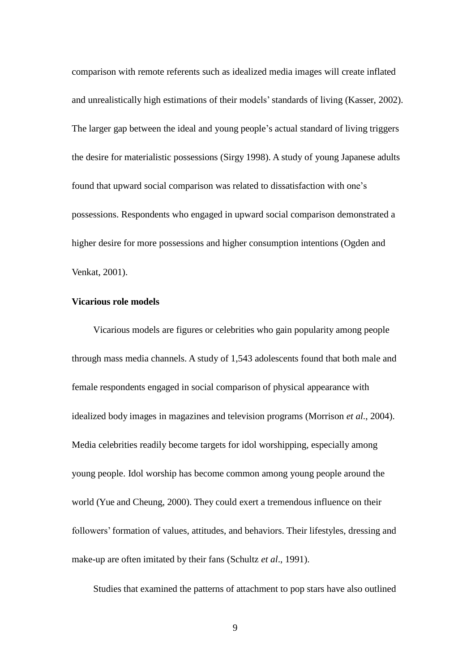comparison with remote referents such as idealized media images will create inflated and unrealistically high estimations of their models'standards of living (Kasser, 2002). The larger gap between the ideal and young people's actual standard of living triggers the desire for materialistic possessions (Sirgy 1998). A study of young Japanese adults found that upward social comparison was related to dissatisfaction with one's possessions. Respondents who engaged in upward social comparison demonstrated a higher desire for more possessions and higher consumption intentions (Ogden and Venkat, 2001).

## **Vicarious role models**

Vicarious models are figures or celebrities who gain popularity among people through mass media channels. A study of 1,543 adolescents found that both male and female respondents engaged in social comparison of physical appearance with idealized body images in magazines and television programs (Morrison *et al*., 2004). Media celebrities readily become targets for idol worshipping, especially among young people. Idol worship has become common among young people around the world (Yue and Cheung, 2000). They could exert a tremendous influence on their followers' formation of values, attitudes, and behaviors. Their lifestyles, dressing and make-up are often imitated by their fans (Schultz *et al*., 1991).

Studies that examined the patterns of attachment to pop stars have also outlined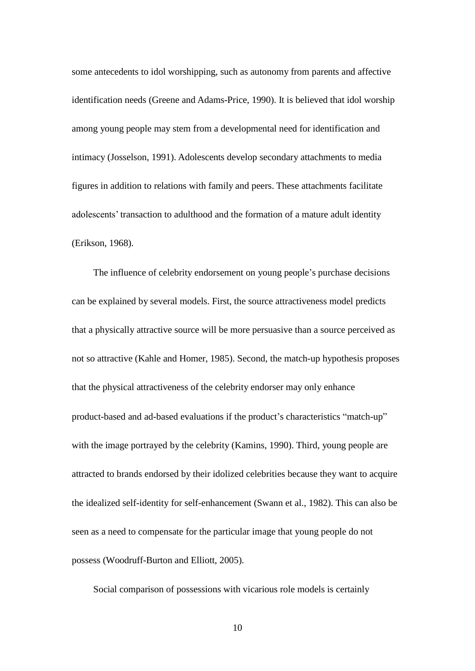some antecedents to idol worshipping, such as autonomy from parents and affective identification needs (Greene and Adams-Price, 1990). It is believed that idol worship among young people may stem from a developmental need for identification and intimacy (Josselson, 1991). Adolescents develop secondary attachments to media figures in addition to relations with family and peers. These attachments facilitate adolescents' transaction to adulthood and the formation of a mature adult identity (Erikson, 1968).

The influence of celebrity endorsement on young people's purchase decisions can be explained by several models. First, the source attractiveness model predicts that a physically attractive source will be more persuasive than a source perceived as not so attractive (Kahle and Homer, 1985). Second, the match-up hypothesis proposes that the physical attractiveness of the celebrity endorser may only enhance product-based and ad-based evaluations if the product's characteristics "match-up" with the image portrayed by the celebrity (Kamins, 1990). Third, young people are attracted to brands endorsed by their idolized celebrities because they want to acquire the idealized self-identity for self-enhancement (Swann et al., 1982). This can also be seen as a need to compensate for the particular image that young people do not possess (Woodruff-Burton and Elliott, 2005).

Social comparison of possessions with vicarious role models is certainly

10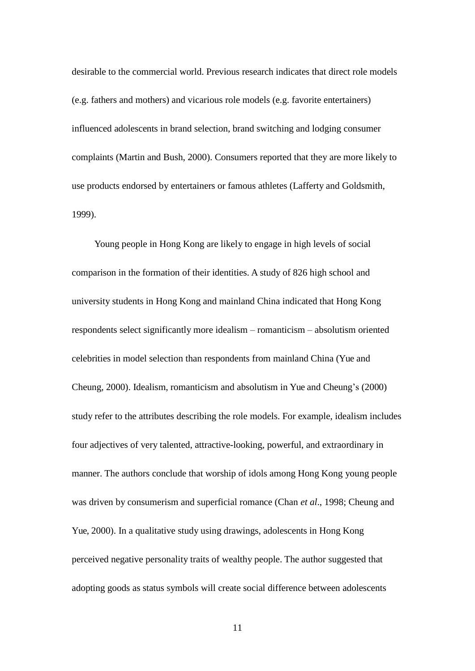desirable to the commercial world. Previous research indicates that direct role models (e.g. fathers and mothers) and vicarious role models (e.g. favorite entertainers) influenced adolescents in brand selection, brand switching and lodging consumer complaints (Martin and Bush, 2000). Consumers reported that they are more likely to use products endorsed by entertainers or famous athletes (Lafferty and Goldsmith, 1999).

Young people in Hong Kong are likely to engage in high levels of social comparison in the formation of their identities. A study of 826 high school and university students in Hong Kong and mainland China indicated that Hong Kong respondents select significantly more idealism – romanticism – absolutism oriented celebrities in model selection than respondents from mainland China (Yue and Cheung, 2000). Idealism, romanticism and absolutism in Yue and Cheung's (2000) study refer to the attributes describing the role models. For example, idealism includes four adjectives of very talented, attractive-looking, powerful, and extraordinary in manner. The authors conclude that worship of idols among Hong Kong young people was driven by consumerism and superficial romance (Chan *et al*., 1998; Cheung and Yue, 2000). In a qualitative study using drawings, adolescents in Hong Kong perceived negative personality traits of wealthy people. The author suggested that adopting goods as status symbols will create social difference between adolescents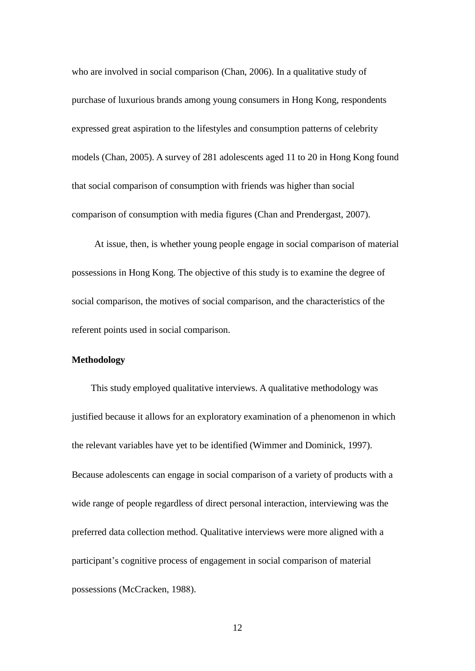who are involved in social comparison (Chan, 2006). In a qualitative study of purchase of luxurious brands among young consumers in Hong Kong, respondents expressed great aspiration to the lifestyles and consumption patterns of celebrity models (Chan, 2005). A survey of 281 adolescents aged 11 to 20 in Hong Kong found that social comparison of consumption with friends was higher than social comparison of consumption with media figures (Chan and Prendergast, 2007).

At issue, then, is whether young people engage in social comparison of material possessions in Hong Kong. The objective of this study is to examine the degree of social comparison, the motives of social comparison, and the characteristics of the referent points used in social comparison.

## **Methodology**

This study employed qualitative interviews. A qualitative methodology was justified because it allows for an exploratory examination of a phenomenon in which the relevant variables have yet to be identified (Wimmer and Dominick, 1997). Because adolescents can engage in social comparison of a variety of products with a wide range of people regardless of direct personal interaction, interviewing was the preferred data collection method. Qualitative interviews were more aligned with a participant's cognitive process of engagement in social comparison of material possessions (McCracken, 1988).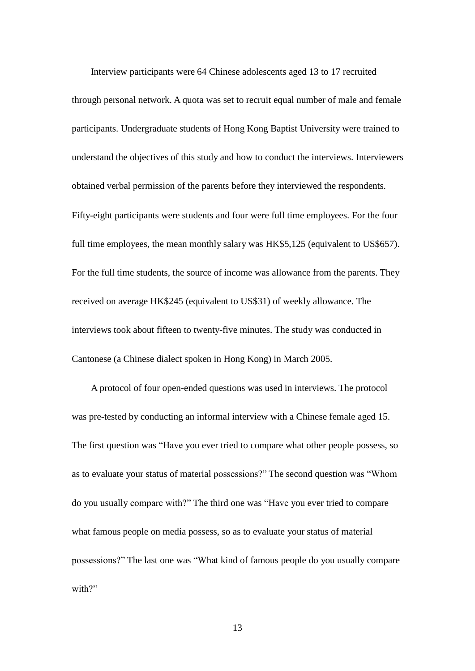Interview participants were 64 Chinese adolescents aged 13 to 17 recruited through personal network. A quota was set to recruit equal number of male and female participants. Undergraduate students of Hong Kong Baptist University were trained to understand the objectives of this study and how to conduct the interviews. Interviewers obtained verbal permission of the parents before they interviewed the respondents. Fifty-eight participants were students and four were full time employees. For the four full time employees, the mean monthly salary was HK\$5,125 (equivalent to US\$657). For the full time students, the source of income was allowance from the parents. They received on average HK\$245 (equivalent to US\$31) of weekly allowance. The interviews took about fifteen to twenty-five minutes. The study was conducted in Cantonese (a Chinese dialect spoken in Hong Kong) in March 2005.

A protocol of four open-ended questions was used in interviews. The protocol was pre-tested by conducting an informal interview with a Chinese female aged 15. The first question was "Have you ever tried to compare what other people possess, so as to evaluate your status of material possessions?" The second question was "Whom do you usually compare with?" The third one was "Have you ever tried to compare what famous people on media possess, so as to evaluate your status of material possessions?" The last one was "What kind of famous people do you usually compare with?"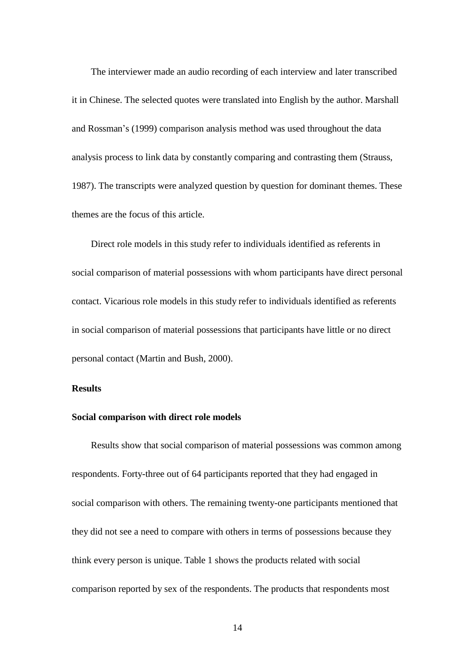The interviewer made an audio recording of each interview and later transcribed it in Chinese. The selected quotes were translated into English by the author. Marshall and Rossman's (1999) comparison analysis method was used throughout the data analysis process to link data by constantly comparing and contrasting them (Strauss, 1987). The transcripts were analyzed question by question for dominant themes. These themes are the focus of this article.

Direct role models in this study refer to individuals identified as referents in social comparison of material possessions with whom participants have direct personal contact. Vicarious role models in this study refer to individuals identified as referents in social comparison of material possessions that participants have little or no direct personal contact (Martin and Bush, 2000).

## **Results**

## **Social comparison with direct role models**

Results show that social comparison of material possessions was common among respondents. Forty-three out of 64 participants reported that they had engaged in social comparison with others. The remaining twenty-one participants mentioned that they did not see a need to compare with others in terms of possessions because they think every person is unique. Table 1 shows the products related with social comparison reported by sex of the respondents. The products that respondents most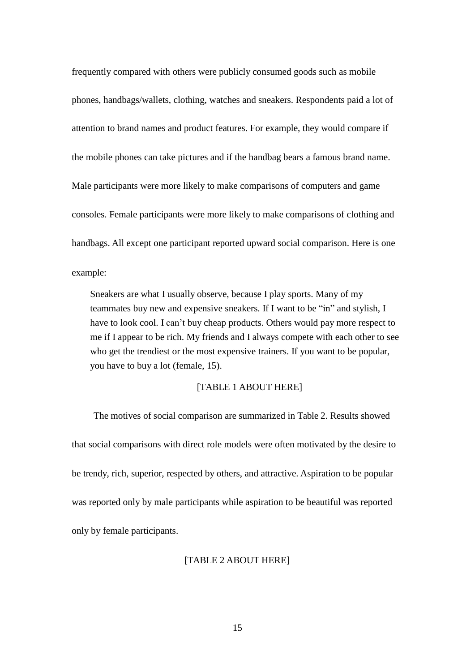frequently compared with others were publicly consumed goods such as mobile phones, handbags/wallets, clothing, watches and sneakers. Respondents paid a lot of attention to brand names and product features. For example, they would compare if the mobile phones can take pictures and if the handbag bears a famous brand name. Male participants were more likely to make comparisons of computers and game consoles. Female participants were more likely to make comparisons of clothing and handbags. All except one participant reported upward social comparison. Here is one example:

Sneakers are what I usually observe, because I play sports. Many of my teammates buy new and expensive sneakers. If I want to be "in" and stylish, I have to look cool. I can't buy cheap products. Others would pay more respect to me if I appear to be rich. My friends and I always compete with each other to see who get the trendiest or the most expensive trainers. If you want to be popular, you have to buy a lot (female, 15).

## [TABLE 1 ABOUT HERE]

The motives of social comparison are summarized in Table 2. Results showed that social comparisons with direct role models were often motivated by the desire to be trendy, rich, superior, respected by others, and attractive. Aspiration to be popular was reported only by male participants while aspiration to be beautiful was reported only by female participants.

#### [TABLE 2 ABOUT HERE]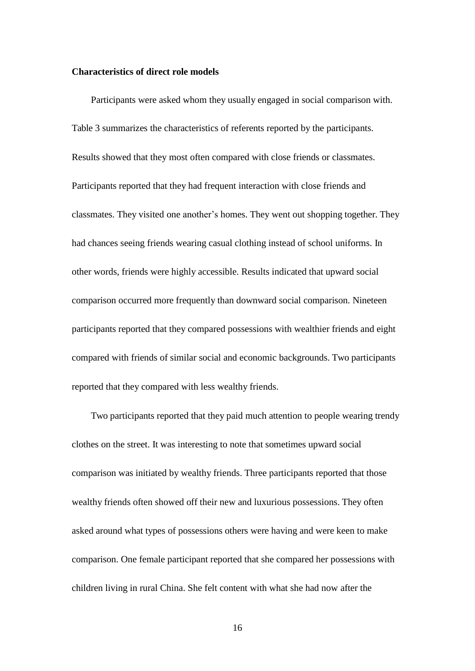#### **Characteristics of direct role models**

Participants were asked whom they usually engaged in social comparison with. Table 3 summarizes the characteristics of referents reported by the participants. Results showed that they most often compared with close friends or classmates. Participants reported that they had frequent interaction with close friends and classmates. They visited one another's homes. They went out shopping together. They had chances seeing friends wearing casual clothing instead of school uniforms. In other words, friends were highly accessible. Results indicated that upward social comparison occurred more frequently than downward social comparison. Nineteen participants reported that they compared possessions with wealthier friends and eight compared with friends of similar social and economic backgrounds. Two participants reported that they compared with less wealthy friends.

Two participants reported that they paid much attention to people wearing trendy clothes on the street. It was interesting to note that sometimes upward social comparison was initiated by wealthy friends. Three participants reported that those wealthy friends often showed off their new and luxurious possessions. They often asked around what types of possessions others were having and were keen to make comparison. One female participant reported that she compared her possessions with children living in rural China. She felt content with what she had now after the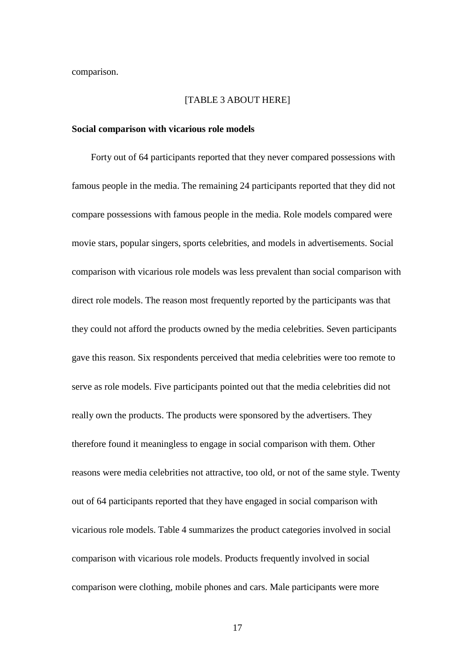comparison.

#### [TABLE 3 ABOUT HERE]

#### **Social comparison with vicarious role models**

Forty out of 64 participants reported that they never compared possessions with famous people in the media. The remaining 24 participants reported that they did not compare possessions with famous people in the media. Role models compared were movie stars, popular singers, sports celebrities, and models in advertisements. Social comparison with vicarious role models was less prevalent than social comparison with direct role models. The reason most frequently reported by the participants was that they could not afford the products owned by the media celebrities. Seven participants gave this reason. Six respondents perceived that media celebrities were too remote to serve as role models. Five participants pointed out that the media celebrities did not really own the products. The products were sponsored by the advertisers. They therefore found it meaningless to engage in social comparison with them. Other reasons were media celebrities not attractive, too old, or not of the same style. Twenty out of 64 participants reported that they have engaged in social comparison with vicarious role models. Table 4 summarizes the product categories involved in social comparison with vicarious role models. Products frequently involved in social comparison were clothing, mobile phones and cars. Male participants were more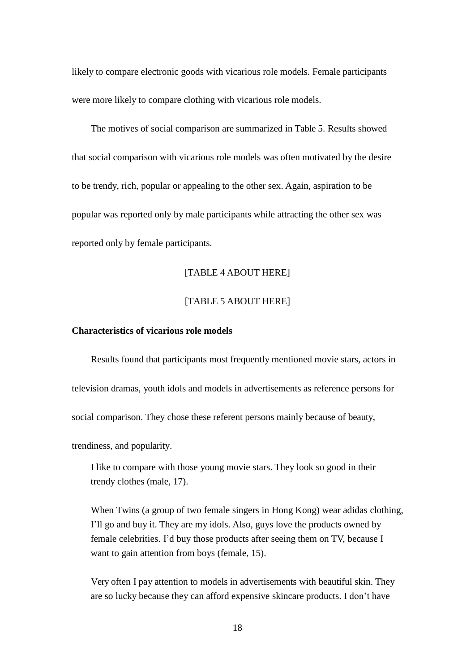likely to compare electronic goods with vicarious role models. Female participants were more likely to compare clothing with vicarious role models.

The motives of social comparison are summarized in Table 5. Results showed that social comparison with vicarious role models was often motivated by the desire to be trendy, rich, popular or appealing to the other sex. Again, aspiration to be popular was reported only by male participants while attracting the other sex was reported only by female participants.

#### [TABLE 4 ABOUT HERE]

## [TABLE 5 ABOUT HERE]

## **Characteristics of vicarious role models**

Results found that participants most frequently mentioned movie stars, actors in television dramas, youth idols and models in advertisements as reference persons for social comparison. They chose these referent persons mainly because of beauty,

trendiness, and popularity.

I like to compare with those young movie stars. They look so good in their trendy clothes (male, 17).

When Twins (a group of two female singers in Hong Kong) wear adidas clothing, I'll go and buy it. They are my idols. Also, guys love the products owned by female celebrities. I'd buy those products after seeing them on TV, because I want to gain attention from boys (female, 15).

Very often I pay attention to models in advertisements with beautiful skin. They are so lucky because they can afford expensive skincare products. I don't have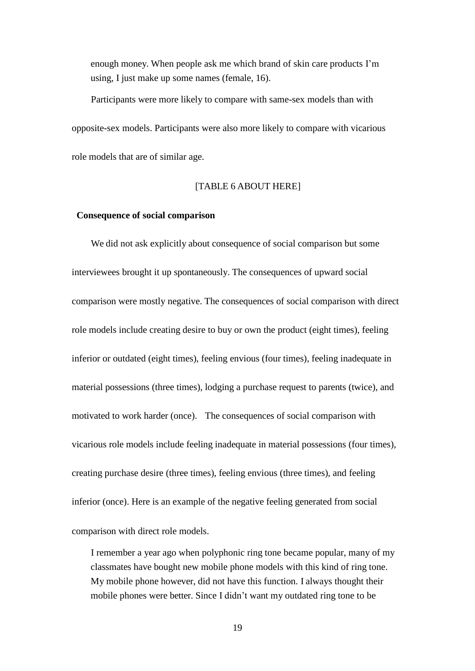enough money. When people ask me which brand of skin care products I'm using, I just make up some names (female, 16).

Participants were more likely to compare with same-sex models than with opposite-sex models. Participants were also more likely to compare with vicarious role models that are of similar age.

## [TABLE 6 ABOUT HERE]

## **Consequence of social comparison**

We did not ask explicitly about consequence of social comparison but some interviewees brought it up spontaneously. The consequences of upward social comparison were mostly negative. The consequences of social comparison with direct role models include creating desire to buy or own the product (eight times), feeling inferior or outdated (eight times), feeling envious (four times), feeling inadequate in material possessions (three times), lodging a purchase request to parents (twice), and motivated to work harder (once). The consequences of social comparison with vicarious role models include feeling inadequate in material possessions (four times), creating purchase desire (three times), feeling envious (three times), and feeling inferior (once). Here is an example of the negative feeling generated from social comparison with direct role models.

I remember a year ago when polyphonic ring tone became popular, many of my classmates have bought new mobile phone models with this kind of ring tone. My mobile phone however, did not have this function. I always thought their mobile phones were better. Since I didn't want my outdated ring tone to be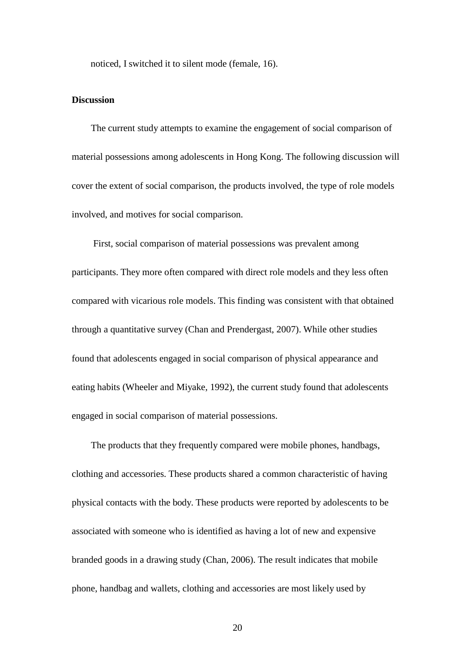noticed, I switched it to silent mode (female, 16).

## **Discussion**

The current study attempts to examine the engagement of social comparison of material possessions among adolescents in Hong Kong. The following discussion will cover the extent of social comparison, the products involved, the type of role models involved, and motives for social comparison.

First, social comparison of material possessions was prevalent among participants. They more often compared with direct role models and they less often compared with vicarious role models. This finding was consistent with that obtained through a quantitative survey (Chan and Prendergast, 2007). While other studies found that adolescents engaged in social comparison of physical appearance and eating habits (Wheeler and Miyake, 1992), the current study found that adolescents engaged in social comparison of material possessions.

The products that they frequently compared were mobile phones, handbags, clothing and accessories. These products shared a common characteristic of having physical contacts with the body. These products were reported by adolescents to be associated with someone who is identified as having a lot of new and expensive branded goods in a drawing study (Chan, 2006). The result indicates that mobile phone, handbag and wallets, clothing and accessories are most likely used by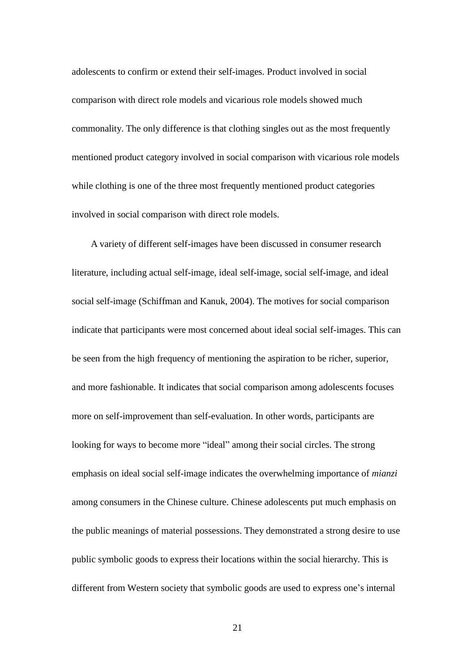adolescents to confirm or extend their self-images. Product involved in social comparison with direct role models and vicarious role models showed much commonality. The only difference is that clothing singles out as the most frequently mentioned product category involved in social comparison with vicarious role models while clothing is one of the three most frequently mentioned product categories involved in social comparison with direct role models.

A variety of different self-images have been discussed in consumer research literature, including actual self-image, ideal self-image, social self-image, and ideal social self-image (Schiffman and Kanuk, 2004). The motives for social comparison indicate that participants were most concerned about ideal social self-images. This can be seen from the high frequency of mentioning the aspiration to be richer, superior, and more fashionable. It indicates that social comparison among adolescents focuses more on self-improvement than self-evaluation. In other words, participants are looking for ways to become more "ideal" among their social circles. The strong emphasis on ideal social self-image indicates the overwhelming importance of *mianzi* among consumers in the Chinese culture. Chinese adolescents put much emphasis on the public meanings of material possessions. They demonstrated a strong desire to use public symbolic goods to express their locations within the social hierarchy. This is different from Western society that symbolic goods are used to express one's internal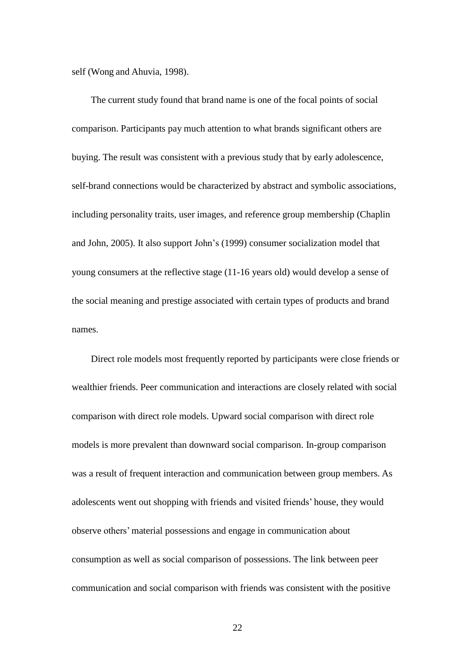self (Wong and Ahuvia, 1998).

The current study found that brand name is one of the focal points of social comparison. Participants pay much attention to what brands significant others are buying. The result was consistent with a previous study that by early adolescence, self-brand connections would be characterized by abstract and symbolic associations, including personality traits, user images, and reference group membership (Chaplin and John, 2005). It also support John's (1999) consumer socialization model that young consumers at the reflective stage (11-16 years old) would develop a sense of the social meaning and prestige associated with certain types of products and brand names.

Direct role models most frequently reported by participants were close friends or wealthier friends. Peer communication and interactions are closely related with social comparison with direct role models. Upward social comparison with direct role models is more prevalent than downward social comparison. In-group comparison was a result of frequent interaction and communication between group members. As adolescents went out shopping with friends and visited friends' house, they would observe others' material possessions and engage in communication about consumption as well as social comparison of possessions. The link between peer communication and social comparison with friends was consistent with the positive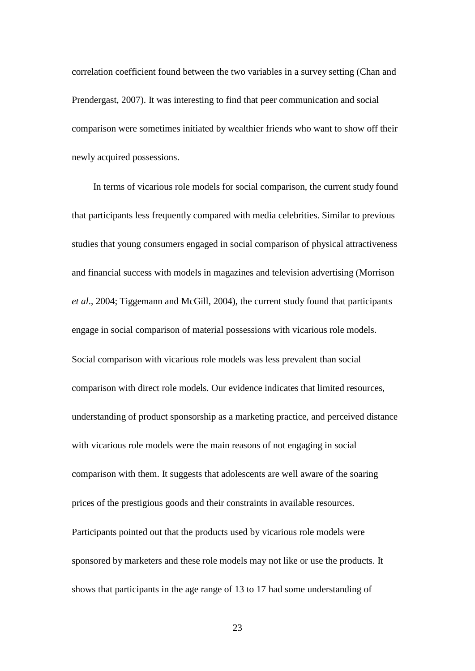correlation coefficient found between the two variables in a survey setting (Chan and Prendergast, 2007). It was interesting to find that peer communication and social comparison were sometimes initiated by wealthier friends who want to show off their newly acquired possessions.

In terms of vicarious role models for social comparison, the current study found that participants less frequently compared with media celebrities. Similar to previous studies that young consumers engaged in social comparison of physical attractiveness and financial success with models in magazines and television advertising (Morrison *et al*., 2004; Tiggemann and McGill, 2004), the current study found that participants engage in social comparison of material possessions with vicarious role models. Social comparison with vicarious role models was less prevalent than social comparison with direct role models. Our evidence indicates that limited resources, understanding of product sponsorship as a marketing practice, and perceived distance with vicarious role models were the main reasons of not engaging in social comparison with them. It suggests that adolescents are well aware of the soaring prices of the prestigious goods and their constraints in available resources. Participants pointed out that the products used by vicarious role models were sponsored by marketers and these role models may not like or use the products. It shows that participants in the age range of 13 to 17 had some understanding of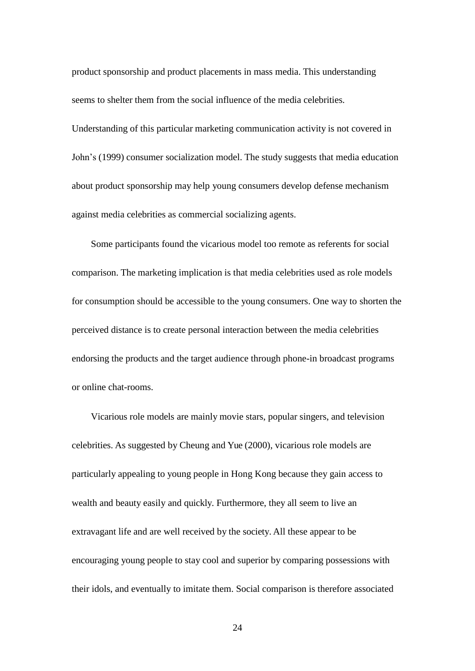product sponsorship and product placements in mass media. This understanding seems to shelter them from the social influence of the media celebrities. Understanding of this particular marketing communication activity is not covered in John's (1999) consumer socialization model. The study suggests that media education about product sponsorship may help young consumers develop defense mechanism against media celebrities as commercial socializing agents.

Some participants found the vicarious model too remote as referents for social comparison. The marketing implication is that media celebrities used as role models for consumption should be accessible to the young consumers. One way to shorten the perceived distance is to create personal interaction between the media celebrities endorsing the products and the target audience through phone-in broadcast programs or online chat-rooms.

Vicarious role models are mainly movie stars, popular singers, and television celebrities. As suggested by Cheung and Yue (2000), vicarious role models are particularly appealing to young people in Hong Kong because they gain access to wealth and beauty easily and quickly. Furthermore, they all seem to live an extravagant life and are well received by the society. All these appear to be encouraging young people to stay cool and superior by comparing possessions with their idols, and eventually to imitate them. Social comparison is therefore associated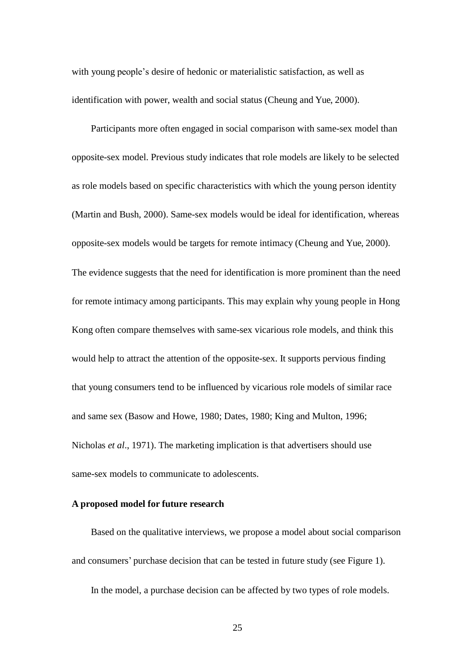with young people's desire of hedonic or materialistic satisfaction, as well as identification with power, wealth and social status (Cheung and Yue, 2000).

Participants more often engaged in social comparison with same-sex model than opposite-sex model. Previous study indicates that role models are likely to be selected as role models based on specific characteristics with which the young person identity (Martin and Bush, 2000). Same-sex models would be ideal for identification, whereas opposite-sex models would be targets for remote intimacy (Cheung and Yue, 2000). The evidence suggests that the need for identification is more prominent than the need for remote intimacy among participants. This may explain why young people in Hong Kong often compare themselves with same-sex vicarious role models, and think this would help to attract the attention of the opposite-sex. It supports pervious finding that young consumers tend to be influenced by vicarious role models of similar race and same sex (Basow and Howe, 1980; Dates, 1980; King and Multon, 1996; Nicholas *et al*., 1971). The marketing implication is that advertisers should use same-sex models to communicate to adolescents.

#### **A proposed model for future research**

Based on the qualitative interviews, we propose a model about social comparison and consumers' purchase decision that can be tested in future study (see Figure 1).

In the model, a purchase decision can be affected by two types of role models.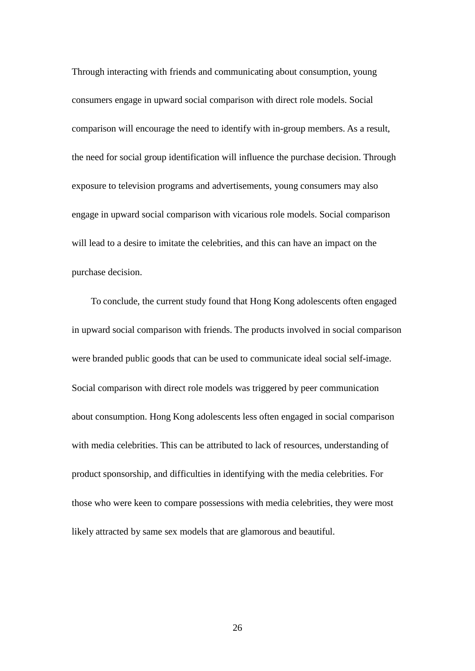Through interacting with friends and communicating about consumption, young consumers engage in upward social comparison with direct role models. Social comparison will encourage the need to identify with in-group members. As a result, the need for social group identification will influence the purchase decision. Through exposure to television programs and advertisements, young consumers may also engage in upward social comparison with vicarious role models. Social comparison will lead to a desire to imitate the celebrities, and this can have an impact on the purchase decision.

To conclude, the current study found that Hong Kong adolescents often engaged in upward social comparison with friends. The products involved in social comparison were branded public goods that can be used to communicate ideal social self-image. Social comparison with direct role models was triggered by peer communication about consumption. Hong Kong adolescents less often engaged in social comparison with media celebrities. This can be attributed to lack of resources, understanding of product sponsorship, and difficulties in identifying with the media celebrities. For those who were keen to compare possessions with media celebrities, they were most likely attracted by same sex models that are glamorous and beautiful.

26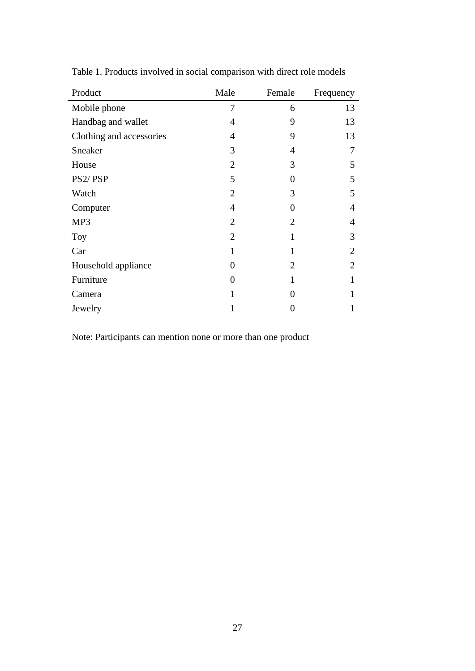| Product                  | Male           | Female | Frequency      |
|--------------------------|----------------|--------|----------------|
| Mobile phone             | 7              | 6      | 13             |
| Handbag and wallet       | 4              | 9      | 13             |
| Clothing and accessories | 4              | 9      | 13             |
| Sneaker                  | 3              | 4      | 7              |
| House                    | $\overline{2}$ | 3      | 5              |
| PS2/PSP                  | 5              | 0      | 5              |
| Watch                    | $\overline{2}$ | 3      | 5              |
| Computer                 | $\overline{4}$ | 0      | $\overline{4}$ |
| MP3                      | $\overline{2}$ | 2      | 4              |
| Toy                      | $\overline{2}$ | 1      | 3              |
| Car                      | 1              | 1      | $\overline{2}$ |
| Household appliance      | 0              | 2      | $\overline{2}$ |
| Furniture                | 0              |        | 1              |
| Camera                   | 1              | 0      |                |
| Jewelry                  |                | O      | 1              |

Table 1. Products involved in social comparison with direct role models

Note: Participants can mention none or more than one product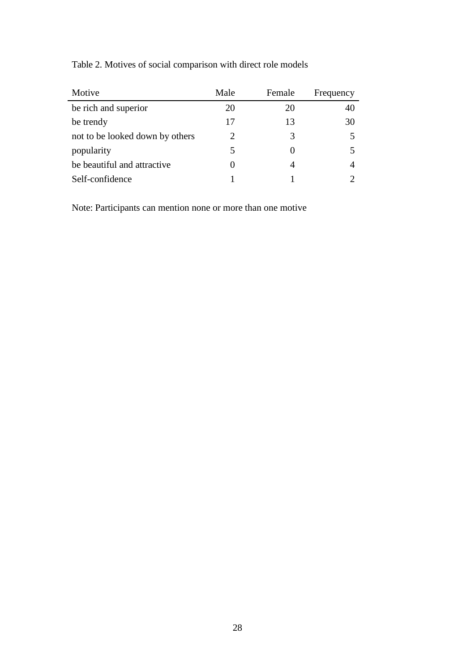| Motive                          | Male                        | Female | Frequency |
|---------------------------------|-----------------------------|--------|-----------|
| be rich and superior            | 20                          | 20     | 40        |
| be trendy                       | 17                          | 13     | 30        |
| not to be looked down by others | $\mathcal{D}_{\mathcal{L}}$ | 3      |           |
| popularity                      |                             |        |           |
| be beautiful and attractive     |                             |        |           |
| Self-confidence                 |                             |        |           |

Table 2. Motives of social comparison with direct role models

Note: Participants can mention none or more than one motive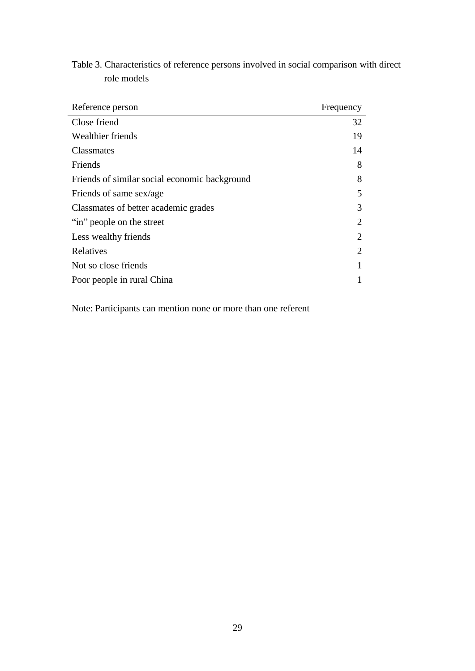| Frequency      |
|----------------|
| 32             |
| 19             |
| 14             |
| 8              |
| 8              |
| 5              |
| 3              |
| $\overline{2}$ |
| 2              |
| $\overline{2}$ |
|                |
|                |
|                |

Table 3. Characteristics of reference persons involved in social comparison with direct role models

Note: Participants can mention none or more than one referent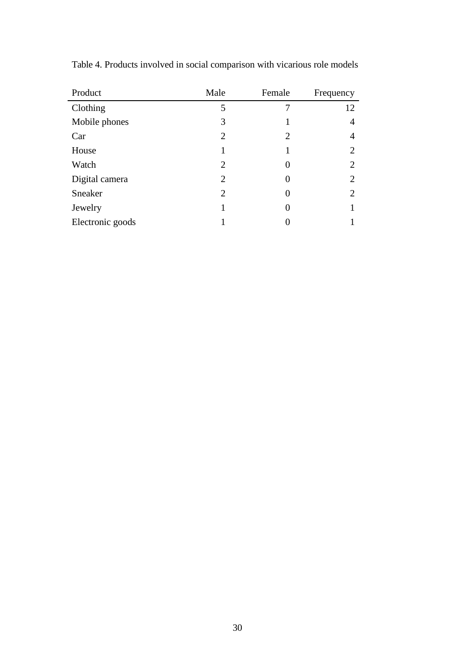| Product          | Male           | Female | Frequency |
|------------------|----------------|--------|-----------|
| Clothing         | 5              |        | 12        |
| Mobile phones    | 3              |        | 4         |
| Car              | $\overline{2}$ | 2      | 4         |
| House            |                |        | 2         |
| Watch            | 2              | 0      | 2         |
| Digital camera   | $\overline{2}$ | 0      | 2         |
| Sneaker          | $\overline{2}$ | 0      | 2         |
| Jewelry          |                | 0      |           |
| Electronic goods |                |        |           |

Table 4. Products involved in social comparison with vicarious role models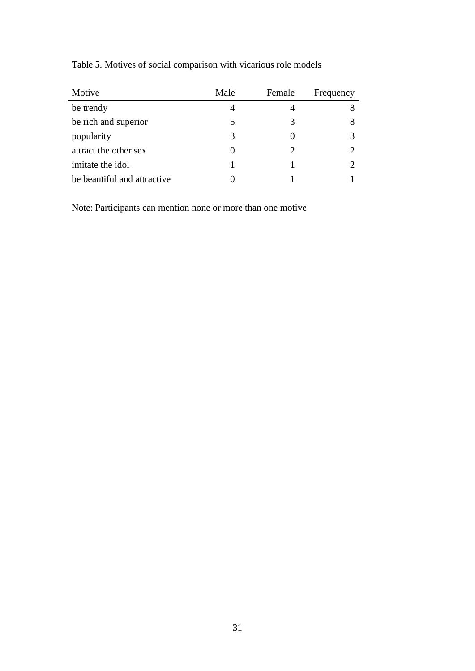| Motive                      | Male              | Female | Frequency |
|-----------------------------|-------------------|--------|-----------|
| be trendy                   | 4                 |        |           |
| be rich and superior        |                   | 3      |           |
| popularity                  | 3                 |        |           |
| attract the other sex       | $\mathbf{\Omega}$ | 2      |           |
| imitate the idol            |                   |        |           |
| be beautiful and attractive |                   |        |           |

Table 5. Motives of social comparison with vicarious role models

Note: Participants can mention none or more than one motive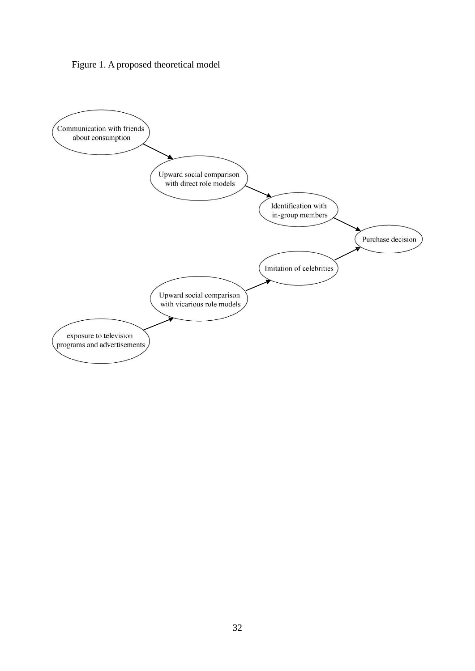

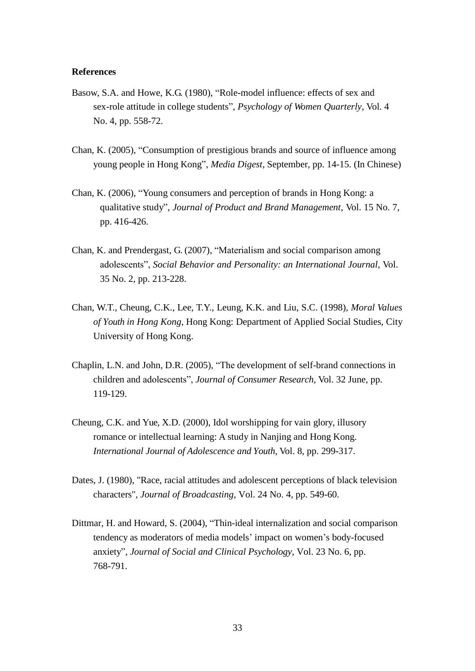#### **References**

- Basow, S.A. and Howe, K.G. (1980), "Role-model influence: effects of sex and sex-role attitude in college students", *Psychology of Women Quarterly*, Vol. 4 No. 4, pp. 558-72.
- Chan, K. (2005), "Consumption of prestigious brands and source of influence among young people in Hong Kong", *Media Digest*, September, pp. 14-15. (In Chinese)
- Chan, K. (2006), "Young consumers and perception of brands in Hong Kong: a qualitative study", *Journal of Product and Brand Management*, Vol. 15 No. 7, pp. 416-426.
- Chan, K. and Prendergast, G. (2007), "Materialism and social comparison among adolescents", *Social Behavior and Personality: an International Journal*, Vol. 35 No. 2, pp. 213-228.
- Chan, W.T., Cheung, C.K., Lee, T.Y., Leung, K.K. and Liu, S.C. (1998), *Moral Values of Youth in Hong Kong,* Hong Kong: Department of Applied Social Studies, City University of Hong Kong.
- Chaplin, L.N. and John, D.R. (2005), "The development of self-brand connections in children and adolescents", *Journal of Consumer Research*, Vol. 32 June, pp. 119-129.
- Cheung, C.K. and Yue, X.D. (2000), Idol worshipping for vain glory, illusory romance or intellectual learning: A study in Nanjing and Hong Kong. *International Journal of Adolescence and Youth*, Vol. 8, pp. 299-317.
- Dates, J. (1980), "Race, racial attitudes and adolescent perceptions of black television characters", *Journal of Broadcasting*, Vol. 24 No. 4, pp. 549-60.
- Dittmar, H. and Howard, S. (2004), "Thin-ideal internalization and social comparison tendency as moderators of media models' impact on women's body-focused anxiety", *Journal of Social and Clinical Psychology*, Vol. 23 No. 6, pp. 768-791.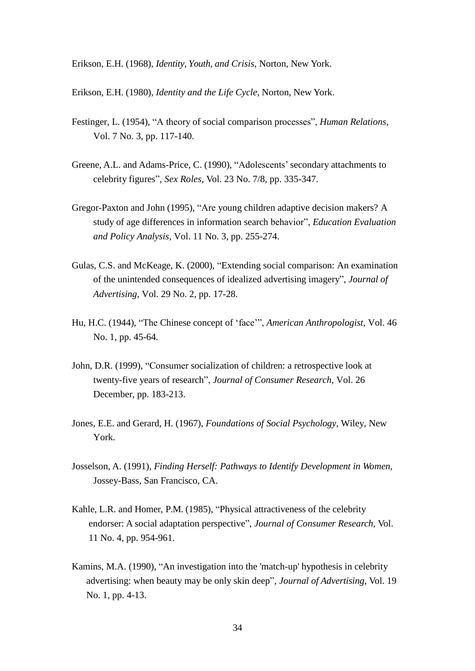Erikson, E.H. (1968), *Identity, Youth, and Crisis,* Norton, New York.

Erikson, E.H. (1980), *Identity and the Life Cycle*, Norton, New York.

- Festinger, L. (1954), "A theory of social comparison processes", *Human Relations,* Vol. 7 No. 3, pp. 117-140.
- Greene, A.L. and Adams-Price, C. (1990), "Adolescents'secondary attachments to celebrity figures", *Sex Roles,* Vol. 23 No. 7/8, pp. 335-347.
- Gregor-Paxton and John (1995), "Are young children adaptive decision makers? A study of age differences in information search behavior", *Education Evaluation and Policy Analysis*, Vol. 11 No. 3, pp. 255-274.
- Gulas, C.S. and McKeage, K. (2000), "Extending social comparison: An examination of the unintended consequences of idealized advertising imagery", *Journal of Advertising*, Vol. 29 No. 2, pp. 17-28.
- Hu, H.C. (1944), "The Chinese concept of 'face'", *American Anthropologist*, Vol. 46 No. 1, pp. 45-64.
- John, D.R. (1999), "Consumer socialization of children: a retrospective look at twenty-five years of research", *Journal of Consumer Research*, Vol. 26 December, pp. 183-213.
- Jones, E.E. and Gerard, H. (1967), *Foundations of Social Psychology*, Wiley, New York.
- Josselson, A. (1991), *Finding Herself: Pathways to Identify Development in Women,* Jossey-Bass, San Francisco, CA.
- Kahle, L.R. and Homer, P.M. (1985), "Physical attractiveness of the celebrity endorser: A social adaptation perspective", *Journal of Consumer Research*, Vol. 11 No. 4, pp. 954-961.
- Kamins, M.A. (1990), "An investigation into the 'match-up' hypothesis in celebrity advertising: when beauty may be only skin deep", *Journal of Advertising*, Vol. 19 No. 1, pp. 4-13.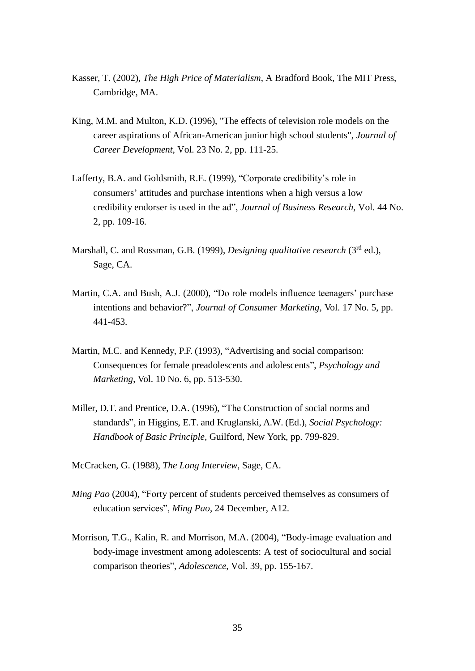- Kasser, T. (2002), *The High Price of Materialism*, A Bradford Book, The MIT Press, Cambridge, MA.
- King, M.M. and Multon, K.D. (1996), "The effects of television role models on the career aspirations of African-American junior high school students", *Journal of Career Development*, Vol. 23 No. 2, pp. 111-25.
- Lafferty, B.A. and Goldsmith, R.E. (1999), "Corporate credibility's role in consumers' attitudes and purchase intentions when a high versus a low credibility endorser is used in the ad", *Journal of Business Research*, Vol. 44 No. 2, pp. 109-16.
- Marshall, C. and Rossman, G.B. (1999), *Designing qualitative research* (3rd ed.), Sage, CA.
- Martin, C.A. and Bush, A.J. (2000), "Do role models influence teenagers' purchase intentions and behavior?", *Journal of Consumer Marketing,* Vol. 17 No. 5, pp. 441-453.
- Martin, M.C. and Kennedy, P.F. (1993), "Advertising and social comparison: Consequences for female preadolescents and adolescents", *Psychology and Marketing*, Vol. 10 No. 6, pp. 513-530.
- Miller, D.T. and Prentice, D.A. (1996), "The Construction of social norms and standards", in Higgins, E.T. and Kruglanski, A.W. (Ed.), *Social Psychology: Handbook of Basic Principle*, Guilford, New York, pp. 799-829.
- McCracken, G. (1988), *The Long Interview*, Sage, CA.
- *Ming Pao* (2004), "Forty percent of students perceived themselves as consumers of education services", *Ming Pao*, 24 December, A12.
- Morrison, T.G., Kalin, R. and Morrison, M.A. (2004), "Body-image evaluation and body-image investment among adolescents: A test of sociocultural and social comparison theories", *Adolescence*, Vol. 39, pp. 155-167.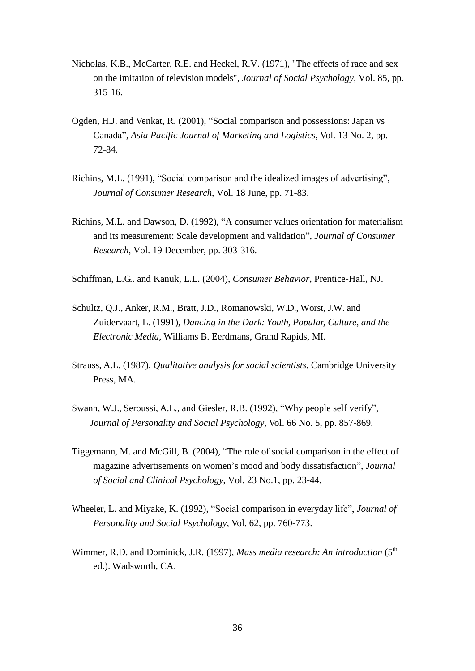- Nicholas, K.B., McCarter, R.E. and Heckel, R.V. (1971), "The effects of race and sex on the imitation of television models", *Journal of Social Psychology*, Vol. 85, pp. 315-16.
- Ogden, H.J. and Venkat, R. (2001), "Social comparison and possessions: Japan vs Canada", *[Asia Pacific Journal of Marketing and Logistics](http://www.ingentaconnect.com/content/mcb/008%3Bjsessionid%3D150oe7a1m8b6p.henrietta)*, Vol. 13 No. 2, pp. 72-84.
- Richins, M.L. (1991), "Social comparison and the idealized images of advertising", *Journal of Consumer Research*, Vol. 18 June, pp. 71-83.
- Richins, M.L. and Dawson, D. (1992), "A consumer values orientation for materialism and its measurement: Scale development and validation", *Journal of Consumer Research*, Vol. 19 December, pp. 303-316.
- Schiffman, L.G.. and Kanuk, L.L. (2004), *Consumer Behavior,* Prentice-Hall, NJ.
- Schultz, Q.J., Anker, R.M., Bratt, J.D., Romanowski, W.D., Worst, J.W. and Zuidervaart, L. (1991), *Dancing in the Dark: Youth, Popular, Culture, and the Electronic Media*, Williams B. Eerdmans, Grand Rapids, MI.
- Strauss, A.L. (1987), *Qualitative analysis for social scientists*, Cambridge University Press, MA.
- Swann, W.J., Seroussi, A.L., and Giesler, R.B. (1992), "Why people self verify", *Journal of Personality and Social Psychology*, Vol. 66 No. 5, pp. 857-869.
- Tiggemann, M. and McGill, B. (2004), "The role of social comparison in the effect of magazine advertisements on women's mood and body dissatisfaction", *Journal of Social and Clinical Psychology*, Vol. 23 No.1, pp. 23-44.
- Wheeler, L. and Miyake, K. (1992), "Social comparison in everyday life", *Journal of Personality and Social Psychology*, Vol. 62, pp. 760-773.
- Wimmer, R.D. and Dominick, J.R. (1997), *Mass media research: An introduction* (5th ed.). Wadsworth, CA.